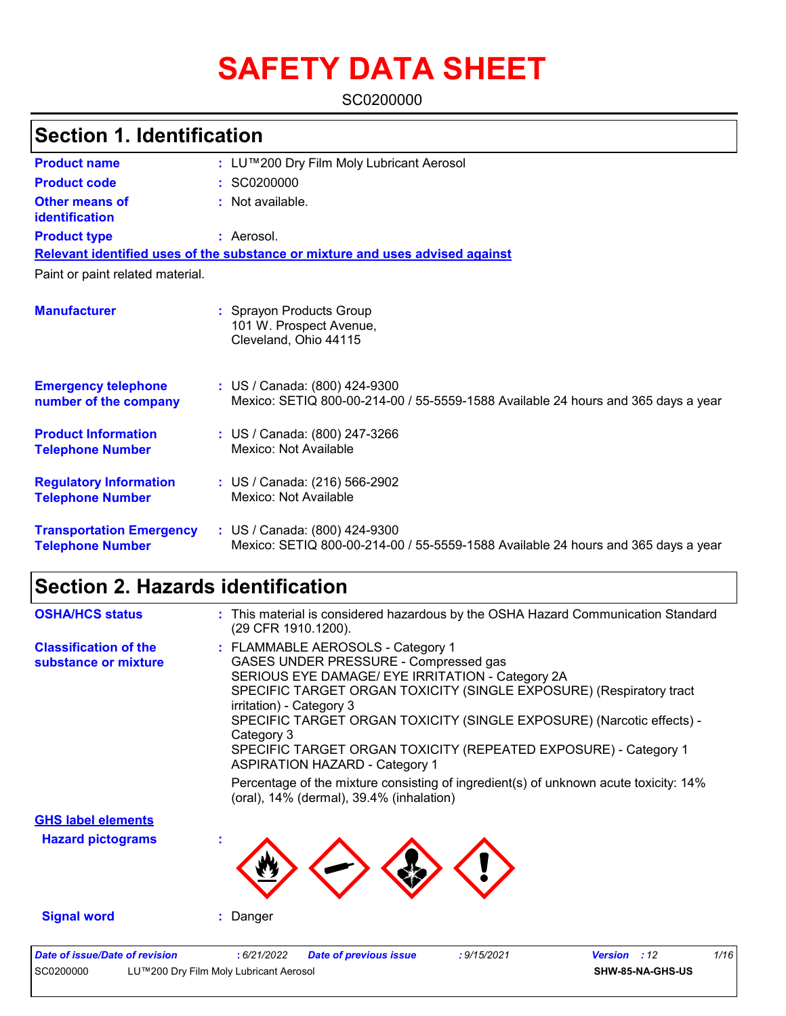# **SAFETY DATA SHEET**

SC0200000

| <b>Section 1. Identification</b>                           |                                                                                                                    |  |  |  |
|------------------------------------------------------------|--------------------------------------------------------------------------------------------------------------------|--|--|--|
|                                                            |                                                                                                                    |  |  |  |
| <b>Product name</b>                                        | : LU™200 Dry Film Moly Lubricant Aerosol                                                                           |  |  |  |
| <b>Product code</b>                                        | SC0200000                                                                                                          |  |  |  |
| <b>Other means of</b><br>identification                    | : Not available.                                                                                                   |  |  |  |
| <b>Product type</b>                                        | : Aerosol.                                                                                                         |  |  |  |
|                                                            | Relevant identified uses of the substance or mixture and uses advised against                                      |  |  |  |
| Paint or paint related material.                           |                                                                                                                    |  |  |  |
| <b>Manufacturer</b>                                        | : Sprayon Products Group<br>101 W. Prospect Avenue,<br>Cleveland, Ohio 44115                                       |  |  |  |
| <b>Emergency telephone</b><br>number of the company        | : US / Canada: (800) 424-9300<br>Mexico: SETIQ 800-00-214-00 / 55-5559-1588 Available 24 hours and 365 days a year |  |  |  |
| <b>Product Information</b><br><b>Telephone Number</b>      | : US / Canada: (800) 247-3266<br>Mexico: Not Available                                                             |  |  |  |
| <b>Regulatory Information</b><br><b>Telephone Number</b>   | : US / Canada: (216) 566-2902<br>Mexico: Not Available                                                             |  |  |  |
| <b>Transportation Emergency</b><br><b>Telephone Number</b> | : US / Canada: (800) 424-9300<br>Mexico: SETIQ 800-00-214-00 / 55-5559-1588 Available 24 hours and 365 days a year |  |  |  |

## **Section 2. Hazards identification**

| <b>OSHA/HCS status</b>                               | : This material is considered hazardous by the OSHA Hazard Communication Standard<br>(29 CFR 1910.1200).                                                                                                                                                                                                                                                                                                                             |  |  |  |  |  |  |
|------------------------------------------------------|--------------------------------------------------------------------------------------------------------------------------------------------------------------------------------------------------------------------------------------------------------------------------------------------------------------------------------------------------------------------------------------------------------------------------------------|--|--|--|--|--|--|
| <b>Classification of the</b><br>substance or mixture | : FLAMMABLE AEROSOLS - Category 1<br>GASES UNDER PRESSURE - Compressed gas<br>SERIOUS EYE DAMAGE/ EYE IRRITATION - Category 2A<br>SPECIFIC TARGET ORGAN TOXICITY (SINGLE EXPOSURE) (Respiratory tract<br>irritation) - Category 3<br>SPECIFIC TARGET ORGAN TOXICITY (SINGLE EXPOSURE) (Narcotic effects) -<br>Category 3<br>SPECIFIC TARGET ORGAN TOXICITY (REPEATED EXPOSURE) - Category 1<br><b>ASPIRATION HAZARD - Category 1</b> |  |  |  |  |  |  |
|                                                      | Percentage of the mixture consisting of ingredient(s) of unknown acute toxicity: 14%<br>(oral), 14% (dermal), 39.4% (inhalation)                                                                                                                                                                                                                                                                                                     |  |  |  |  |  |  |
| <b>GHS label elements</b>                            |                                                                                                                                                                                                                                                                                                                                                                                                                                      |  |  |  |  |  |  |
| <b>Hazard pictograms</b>                             |                                                                                                                                                                                                                                                                                                                                                                                                                                      |  |  |  |  |  |  |
| <b>Signal word</b>                                   | : Danger                                                                                                                                                                                                                                                                                                                                                                                                                             |  |  |  |  |  |  |
| <b>Date of issue/Date of revision</b>                | 1/16<br>:6/21/2022<br>: 9/15/2021<br><b>Version</b><br>:12<br><b>Date of previous issue</b>                                                                                                                                                                                                                                                                                                                                          |  |  |  |  |  |  |

SC0200000 LU™200 Dry Film Moly Lubricant Aerosol **SHW-85-NA-GHS-US**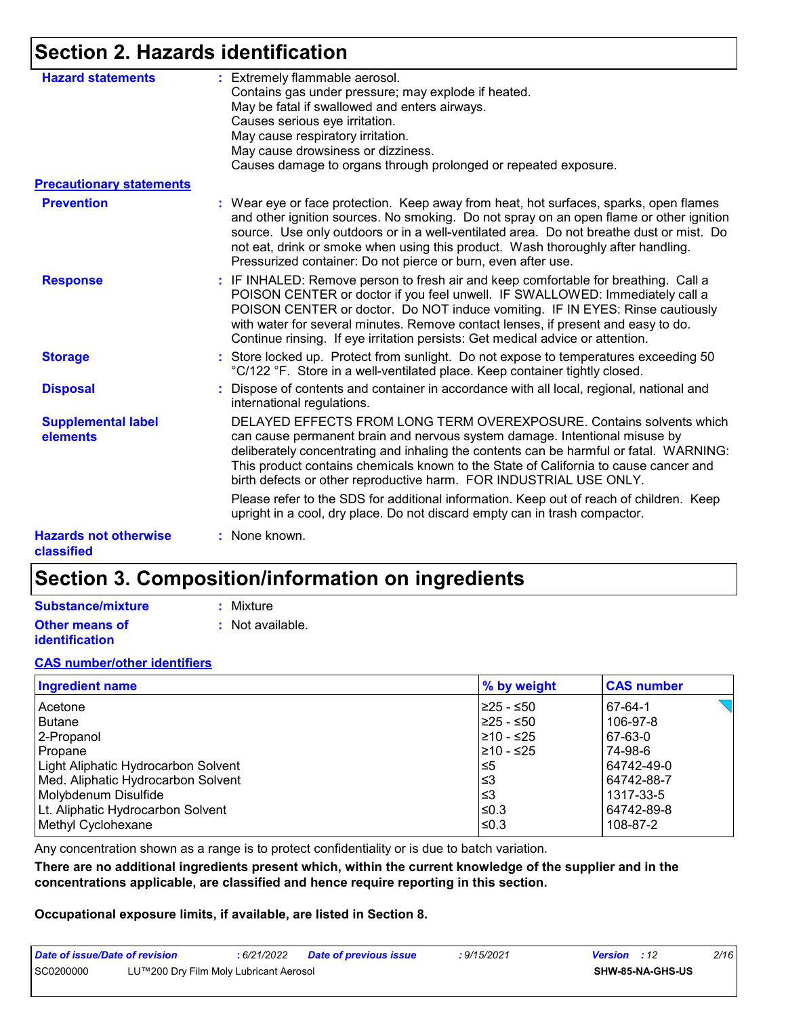## **Section 2. Hazards identification**

| <b>Hazard statements</b>                   | : Extremely flammable aerosol.<br>Contains gas under pressure; may explode if heated.<br>May be fatal if swallowed and enters airways.<br>Causes serious eye irritation.<br>May cause respiratory irritation.<br>May cause drowsiness or dizziness.<br>Causes damage to organs through prolonged or repeated exposure.                                                                                                           |
|--------------------------------------------|----------------------------------------------------------------------------------------------------------------------------------------------------------------------------------------------------------------------------------------------------------------------------------------------------------------------------------------------------------------------------------------------------------------------------------|
| <b>Precautionary statements</b>            |                                                                                                                                                                                                                                                                                                                                                                                                                                  |
| <b>Prevention</b>                          | : Wear eye or face protection. Keep away from heat, hot surfaces, sparks, open flames<br>and other ignition sources. No smoking. Do not spray on an open flame or other ignition<br>source. Use only outdoors or in a well-ventilated area. Do not breathe dust or mist. Do<br>not eat, drink or smoke when using this product. Wash thoroughly after handling.<br>Pressurized container: Do not pierce or burn, even after use. |
| <b>Response</b>                            | : IF INHALED: Remove person to fresh air and keep comfortable for breathing. Call a<br>POISON CENTER or doctor if you feel unwell. IF SWALLOWED: Immediately call a<br>POISON CENTER or doctor. Do NOT induce vomiting. IF IN EYES: Rinse cautiously<br>with water for several minutes. Remove contact lenses, if present and easy to do.<br>Continue rinsing. If eye irritation persists: Get medical advice or attention.      |
| <b>Storage</b>                             | : Store locked up. Protect from sunlight. Do not expose to temperatures exceeding 50<br>°C/122 °F. Store in a well-ventilated place. Keep container tightly closed.                                                                                                                                                                                                                                                              |
| <b>Disposal</b>                            | : Dispose of contents and container in accordance with all local, regional, national and<br>international regulations.                                                                                                                                                                                                                                                                                                           |
| <b>Supplemental label</b><br>elements      | DELAYED EFFECTS FROM LONG TERM OVEREXPOSURE. Contains solvents which<br>can cause permanent brain and nervous system damage. Intentional misuse by<br>deliberately concentrating and inhaling the contents can be harmful or fatal. WARNING:<br>This product contains chemicals known to the State of California to cause cancer and<br>birth defects or other reproductive harm. FOR INDUSTRIAL USE ONLY.                       |
|                                            | Please refer to the SDS for additional information. Keep out of reach of children. Keep<br>upright in a cool, dry place. Do not discard empty can in trash compactor.                                                                                                                                                                                                                                                            |
| <b>Hazards not otherwise</b><br>classified | : None known.                                                                                                                                                                                                                                                                                                                                                                                                                    |

## **Section 3. Composition/information on ingredients**

| <b>Substance/mixture</b> |  |  |  |  |
|--------------------------|--|--|--|--|
|--------------------------|--|--|--|--|

- **:** Mixture
- **Other means of identification**
- **:** Not available.

## **CAS number/other identifiers**

| <b>Ingredient name</b>              | % by weight | <b>CAS number</b> |
|-------------------------------------|-------------|-------------------|
| Acetone                             | l≥25 - ≤50  | 67-64-1           |
| Butane                              | l≥25 - ≤50  | 106-97-8          |
| 2-Propanol                          | 210 - ≤25   | 67-63-0           |
| Propane                             | 210 - ≤25   | 74-98-6           |
| Light Aliphatic Hydrocarbon Solvent | ≤5          | 64742-49-0        |
| Med. Aliphatic Hydrocarbon Solvent  | ≤3          | 64742-88-7        |
| Molybdenum Disulfide                | ≤3          | 1317-33-5         |
| Lt. Aliphatic Hydrocarbon Solvent   | ≤0.3        | 64742-89-8        |
| Methyl Cyclohexane                  | ≤0.3        | 108-87-2          |

Any concentration shown as a range is to protect confidentiality or is due to batch variation.

**There are no additional ingredients present which, within the current knowledge of the supplier and in the concentrations applicable, are classified and hence require reporting in this section.**

#### **Occupational exposure limits, if available, are listed in Section 8.**

| Date of issue/Date of revision |                                        | 6/21/2022 | <b>Date of previous issue</b> | : 9/15/2021 | <b>Version</b> : 12 |                  | 2/16 |  |
|--------------------------------|----------------------------------------|-----------|-------------------------------|-------------|---------------------|------------------|------|--|
| SC0200000                      | LU™200 Dry Film Moly Lubricant Aerosol |           |                               |             |                     | SHW-85-NA-GHS-US |      |  |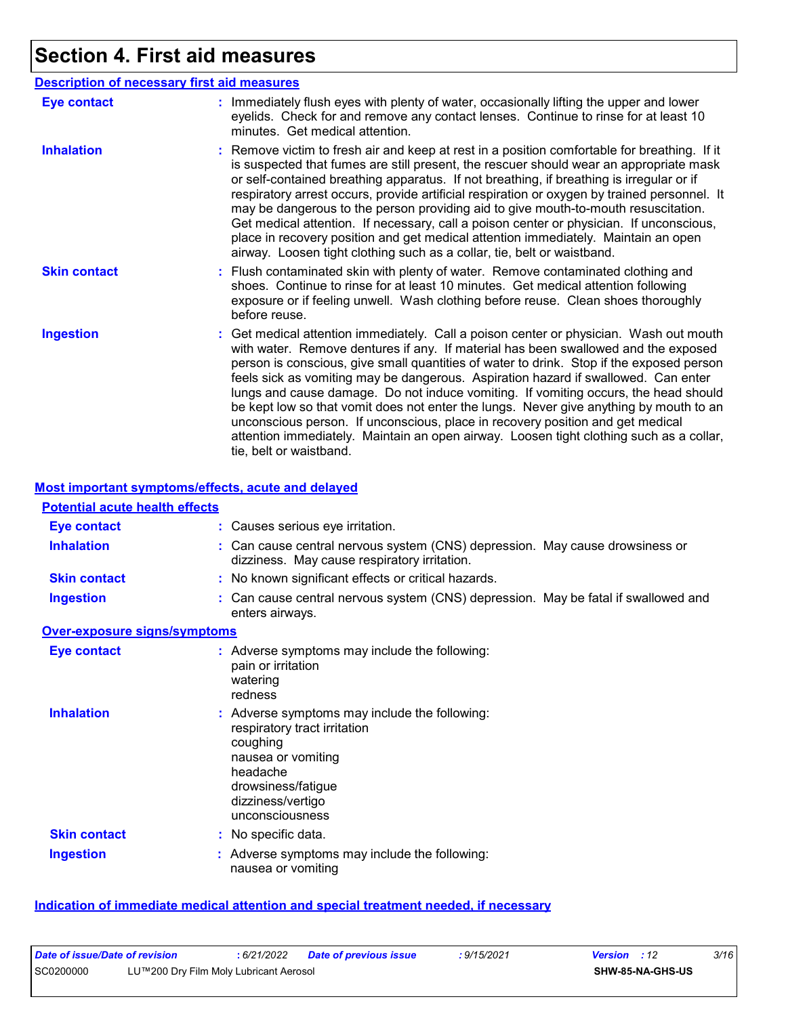# **Section 4. First aid measures**

| <b>Description of necessary first aid measures</b> |                                                                                                                                                                                                                                                                                                                                                                                                                                                                                                                                                                                                                                                                                                                                                         |
|----------------------------------------------------|---------------------------------------------------------------------------------------------------------------------------------------------------------------------------------------------------------------------------------------------------------------------------------------------------------------------------------------------------------------------------------------------------------------------------------------------------------------------------------------------------------------------------------------------------------------------------------------------------------------------------------------------------------------------------------------------------------------------------------------------------------|
| <b>Eye contact</b>                                 | : Immediately flush eyes with plenty of water, occasionally lifting the upper and lower<br>eyelids. Check for and remove any contact lenses. Continue to rinse for at least 10<br>minutes. Get medical attention.                                                                                                                                                                                                                                                                                                                                                                                                                                                                                                                                       |
| <b>Inhalation</b>                                  | : Remove victim to fresh air and keep at rest in a position comfortable for breathing. If it<br>is suspected that fumes are still present, the rescuer should wear an appropriate mask<br>or self-contained breathing apparatus. If not breathing, if breathing is irregular or if<br>respiratory arrest occurs, provide artificial respiration or oxygen by trained personnel. It<br>may be dangerous to the person providing aid to give mouth-to-mouth resuscitation.<br>Get medical attention. If necessary, call a poison center or physician. If unconscious,<br>place in recovery position and get medical attention immediately. Maintain an open<br>airway. Loosen tight clothing such as a collar, tie, belt or waistband.                    |
| <b>Skin contact</b>                                | : Flush contaminated skin with plenty of water. Remove contaminated clothing and<br>shoes. Continue to rinse for at least 10 minutes. Get medical attention following<br>exposure or if feeling unwell. Wash clothing before reuse. Clean shoes thoroughly<br>before reuse.                                                                                                                                                                                                                                                                                                                                                                                                                                                                             |
| <b>Ingestion</b>                                   | : Get medical attention immediately. Call a poison center or physician. Wash out mouth<br>with water. Remove dentures if any. If material has been swallowed and the exposed<br>person is conscious, give small quantities of water to drink. Stop if the exposed person<br>feels sick as vomiting may be dangerous. Aspiration hazard if swallowed. Can enter<br>lungs and cause damage. Do not induce vomiting. If vomiting occurs, the head should<br>be kept low so that vomit does not enter the lungs. Never give anything by mouth to an<br>unconscious person. If unconscious, place in recovery position and get medical<br>attention immediately. Maintain an open airway. Loosen tight clothing such as a collar,<br>tie, belt or waistband. |

#### **Most important symptoms/effects, acute and delayed**

| <b>Potential acute health effects</b> |                                                                                                                                                                                           |
|---------------------------------------|-------------------------------------------------------------------------------------------------------------------------------------------------------------------------------------------|
| <b>Eye contact</b>                    | : Causes serious eye irritation.                                                                                                                                                          |
| <b>Inhalation</b>                     | : Can cause central nervous system (CNS) depression. May cause drowsiness or<br>dizziness. May cause respiratory irritation.                                                              |
| <b>Skin contact</b>                   | : No known significant effects or critical hazards.                                                                                                                                       |
| <b>Ingestion</b>                      | : Can cause central nervous system (CNS) depression. May be fatal if swallowed and<br>enters airways.                                                                                     |
| <b>Over-exposure signs/symptoms</b>   |                                                                                                                                                                                           |
| <b>Eye contact</b>                    | : Adverse symptoms may include the following:<br>pain or irritation<br>watering<br>redness                                                                                                |
| <b>Inhalation</b>                     | : Adverse symptoms may include the following:<br>respiratory tract irritation<br>coughing<br>nausea or vomiting<br>headache<br>drowsiness/fatigue<br>dizziness/vertigo<br>unconsciousness |
| <b>Skin contact</b>                   | : No specific data.                                                                                                                                                                       |
| <b>Ingestion</b>                      | : Adverse symptoms may include the following:<br>nausea or vomiting                                                                                                                       |

#### **Indication of immediate medical attention and special treatment needed, if necessary**

| Date of issue/Date of revision |                                        | : 6/21/2022 | <b>Date of previous issue</b> | 9/15/2021: | <b>Version</b> : 12 |                         | 3/16 |
|--------------------------------|----------------------------------------|-------------|-------------------------------|------------|---------------------|-------------------------|------|
| SC0200000                      | LU™200 Dry Film Moly Lubricant Aerosol |             |                               |            |                     | <b>SHW-85-NA-GHS-US</b> |      |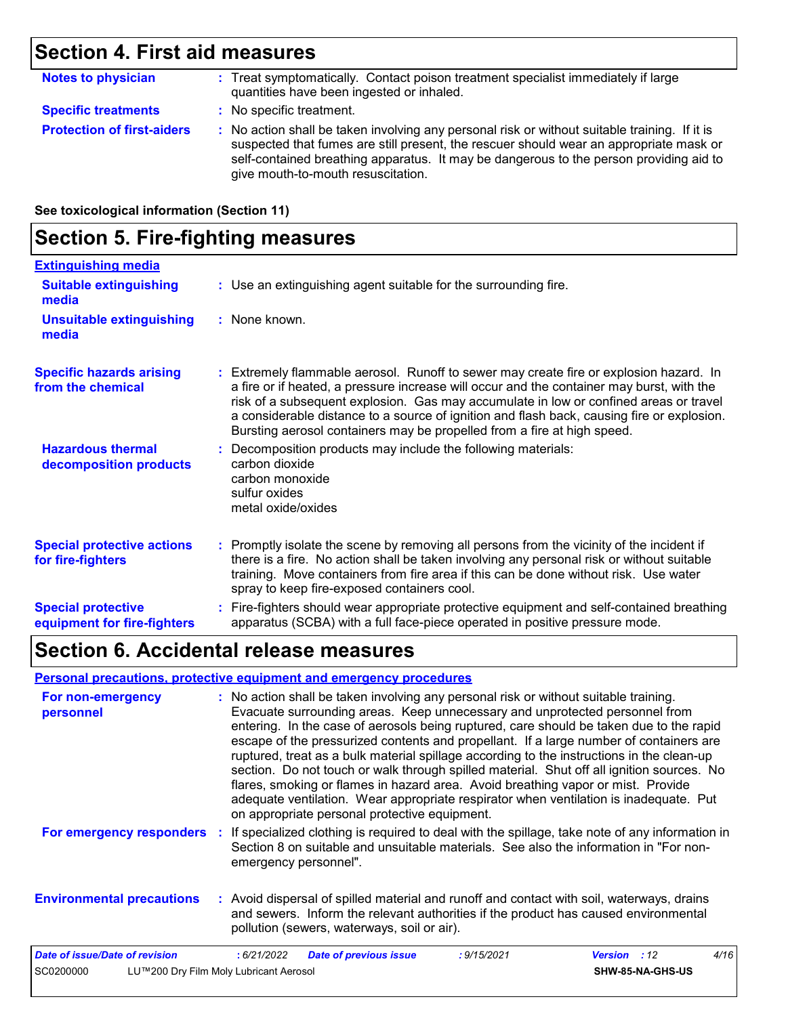## **Section 4. First aid measures**

| <b>Notes to physician</b>         | : Treat symptomatically. Contact poison treatment specialist immediately if large<br>quantities have been ingested or inhaled.                                                                                                                                                                                          |
|-----------------------------------|-------------------------------------------------------------------------------------------------------------------------------------------------------------------------------------------------------------------------------------------------------------------------------------------------------------------------|
| <b>Specific treatments</b>        | : No specific treatment.                                                                                                                                                                                                                                                                                                |
| <b>Protection of first-aiders</b> | : No action shall be taken involving any personal risk or without suitable training. If it is<br>suspected that fumes are still present, the rescuer should wear an appropriate mask or<br>self-contained breathing apparatus. It may be dangerous to the person providing aid to<br>give mouth-to-mouth resuscitation. |

**See toxicological information (Section 11)**

#### **Section 5. Fire-fighting measures** Promptly isolate the scene by removing all persons from the vicinity of the incident if **:** there is a fire. No action shall be taken involving any personal risk or without suitable training. Move containers from fire area if this can be done without risk. Use water spray to keep fire-exposed containers cool. **Hazardous thermal decomposition products Specific hazards arising from the chemical** Decomposition products may include the following materials: **:** carbon dioxide carbon monoxide sulfur oxides metal oxide/oxides Extremely flammable aerosol. Runoff to sewer may create fire or explosion hazard. In **:** a fire or if heated, a pressure increase will occur and the container may burst, with the risk of a subsequent explosion. Gas may accumulate in low or confined areas or travel a considerable distance to a source of ignition and flash back, causing fire or explosion. Bursting aerosol containers may be propelled from a fire at high speed. Fire-fighters should wear appropriate protective equipment and self-contained breathing **:** apparatus (SCBA) with a full face-piece operated in positive pressure mode. **Special protective equipment for fire-fighters** Use an extinguishing agent suitable for the surrounding fire. **: Extinguishing media :** None known. **Suitable extinguishing media Unsuitable extinguishing media Special protective actions for fire-fighters**

### **Section 6. Accidental release measures**

#### **Personal precautions, protective equipment and emergency procedures**

| For non-emergency<br>personnel   | : No action shall be taken involving any personal risk or without suitable training.<br>Evacuate surrounding areas. Keep unnecessary and unprotected personnel from<br>entering. In the case of aerosols being ruptured, care should be taken due to the rapid<br>escape of the pressurized contents and propellant. If a large number of containers are<br>ruptured, treat as a bulk material spillage according to the instructions in the clean-up<br>section. Do not touch or walk through spilled material. Shut off all ignition sources. No<br>flares, smoking or flames in hazard area. Avoid breathing vapor or mist. Provide<br>adequate ventilation. Wear appropriate respirator when ventilation is inadequate. Put<br>on appropriate personal protective equipment. |
|----------------------------------|----------------------------------------------------------------------------------------------------------------------------------------------------------------------------------------------------------------------------------------------------------------------------------------------------------------------------------------------------------------------------------------------------------------------------------------------------------------------------------------------------------------------------------------------------------------------------------------------------------------------------------------------------------------------------------------------------------------------------------------------------------------------------------|
| For emergency responders         | : If specialized clothing is required to deal with the spillage, take note of any information in<br>Section 8 on suitable and unsuitable materials. See also the information in "For non-<br>emergency personnel".                                                                                                                                                                                                                                                                                                                                                                                                                                                                                                                                                               |
| <b>Environmental precautions</b> | : Avoid dispersal of spilled material and runoff and contact with soil, waterways, drains<br>and sewers. Inform the relevant authorities if the product has caused environmental<br>pollution (sewers, waterways, soil or air).                                                                                                                                                                                                                                                                                                                                                                                                                                                                                                                                                  |
| Date of issue/Date of revision   | 4/16<br><b>Date of previous issue</b><br>:6/21/2022<br>: 9/15/2021<br><b>Version</b><br>:12                                                                                                                                                                                                                                                                                                                                                                                                                                                                                                                                                                                                                                                                                      |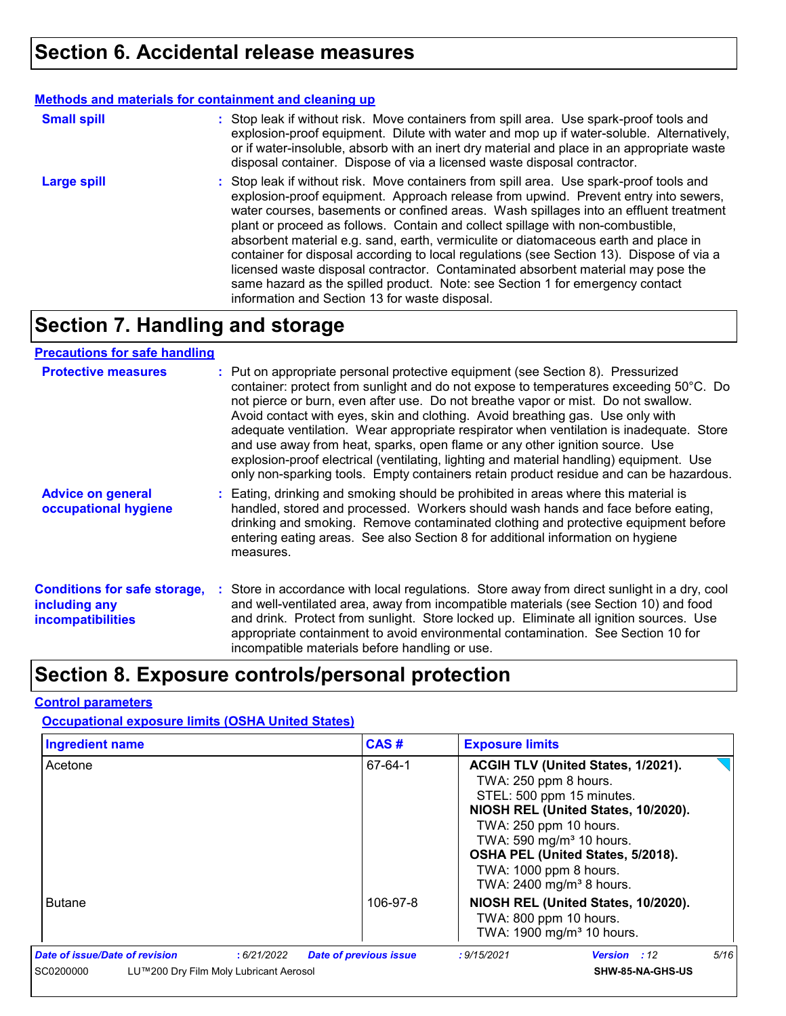#### **Methods and materials for containment and cleaning up**

| <b>Small spill</b> | : Stop leak if without risk. Move containers from spill area. Use spark-proof tools and<br>explosion-proof equipment. Dilute with water and mop up if water-soluble. Alternatively,<br>or if water-insoluble, absorb with an inert dry material and place in an appropriate waste<br>disposal container. Dispose of via a licensed waste disposal contractor.                                                                                                                                                                                                                                                                                                                                                                                                        |
|--------------------|----------------------------------------------------------------------------------------------------------------------------------------------------------------------------------------------------------------------------------------------------------------------------------------------------------------------------------------------------------------------------------------------------------------------------------------------------------------------------------------------------------------------------------------------------------------------------------------------------------------------------------------------------------------------------------------------------------------------------------------------------------------------|
| <b>Large spill</b> | : Stop leak if without risk. Move containers from spill area. Use spark-proof tools and<br>explosion-proof equipment. Approach release from upwind. Prevent entry into sewers,<br>water courses, basements or confined areas. Wash spillages into an effluent treatment<br>plant or proceed as follows. Contain and collect spillage with non-combustible,<br>absorbent material e.g. sand, earth, vermiculite or diatomaceous earth and place in<br>container for disposal according to local regulations (see Section 13). Dispose of via a<br>licensed waste disposal contractor. Contaminated absorbent material may pose the<br>same hazard as the spilled product. Note: see Section 1 for emergency contact<br>information and Section 13 for waste disposal. |

## **Section 7. Handling and storage**

#### **Precautions for safe handling**

| <b>Protective measures</b>                                                       | : Put on appropriate personal protective equipment (see Section 8). Pressurized<br>container: protect from sunlight and do not expose to temperatures exceeding 50°C. Do<br>not pierce or burn, even after use. Do not breathe vapor or mist. Do not swallow.<br>Avoid contact with eyes, skin and clothing. Avoid breathing gas. Use only with<br>adequate ventilation. Wear appropriate respirator when ventilation is inadequate. Store<br>and use away from heat, sparks, open flame or any other ignition source. Use<br>explosion-proof electrical (ventilating, lighting and material handling) equipment. Use<br>only non-sparking tools. Empty containers retain product residue and can be hazardous. |
|----------------------------------------------------------------------------------|-----------------------------------------------------------------------------------------------------------------------------------------------------------------------------------------------------------------------------------------------------------------------------------------------------------------------------------------------------------------------------------------------------------------------------------------------------------------------------------------------------------------------------------------------------------------------------------------------------------------------------------------------------------------------------------------------------------------|
| <b>Advice on general</b><br>occupational hygiene                                 | : Eating, drinking and smoking should be prohibited in areas where this material is<br>handled, stored and processed. Workers should wash hands and face before eating,<br>drinking and smoking. Remove contaminated clothing and protective equipment before<br>entering eating areas. See also Section 8 for additional information on hygiene<br>measures.                                                                                                                                                                                                                                                                                                                                                   |
| <b>Conditions for safe storage,</b><br>including any<br><b>incompatibilities</b> | : Store in accordance with local regulations. Store away from direct sunlight in a dry, cool<br>and well-ventilated area, away from incompatible materials (see Section 10) and food<br>and drink. Protect from sunlight. Store locked up. Eliminate all ignition sources. Use<br>appropriate containment to avoid environmental contamination. See Section 10 for<br>incompatible materials before handling or use.                                                                                                                                                                                                                                                                                            |

# **Section 8. Exposure controls/personal protection**

#### **Control parameters**

#### **Occupational exposure limits (OSHA United States)**

| <b>Ingredient name</b>                              | CAS#                          | <b>Exposure limits</b>                                                                                                                                                                                                                                                                                   |                             |
|-----------------------------------------------------|-------------------------------|----------------------------------------------------------------------------------------------------------------------------------------------------------------------------------------------------------------------------------------------------------------------------------------------------------|-----------------------------|
| Acetone                                             | 67-64-1                       | ACGIH TLV (United States, 1/2021).<br>TWA: 250 ppm 8 hours.<br>STEL: 500 ppm 15 minutes.<br>NIOSH REL (United States, 10/2020).<br>TWA: 250 ppm 10 hours.<br>TWA: 590 mg/m <sup>3</sup> 10 hours.<br>OSHA PEL (United States, 5/2018).<br>TWA: 1000 ppm 8 hours.<br>TWA: 2400 mg/m <sup>3</sup> 8 hours. |                             |
| <b>Butane</b>                                       | 106-97-8                      | NIOSH REL (United States, 10/2020).<br>TWA: 800 ppm 10 hours.<br>TWA: 1900 mg/m <sup>3</sup> 10 hours.                                                                                                                                                                                                   |                             |
| Date of issue/Date of revision<br>:6/21/2022        | <b>Date of previous issue</b> | : 9/15/2021                                                                                                                                                                                                                                                                                              | 5/16<br><b>Version</b> : 12 |
| SC0200000<br>LU™200 Dry Film Moly Lubricant Aerosol |                               |                                                                                                                                                                                                                                                                                                          | SHW-85-NA-GHS-US            |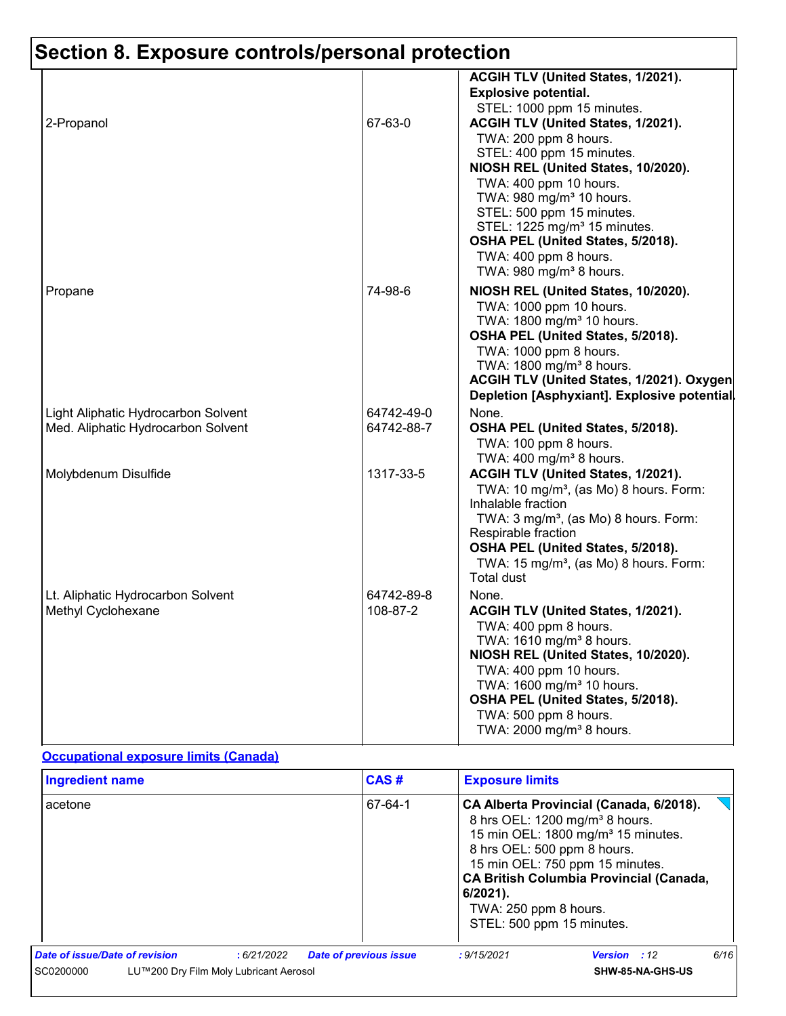|                                     |            | ACGIH TLV (United States, 1/2021).                 |
|-------------------------------------|------------|----------------------------------------------------|
|                                     |            | <b>Explosive potential.</b>                        |
|                                     |            | STEL: 1000 ppm 15 minutes.                         |
| 2-Propanol                          | 67-63-0    | ACGIH TLV (United States, 1/2021).                 |
|                                     |            | TWA: 200 ppm 8 hours.                              |
|                                     |            | STEL: 400 ppm 15 minutes.                          |
|                                     |            | NIOSH REL (United States, 10/2020).                |
|                                     |            | TWA: 400 ppm 10 hours.                             |
|                                     |            | TWA: 980 mg/m <sup>3</sup> 10 hours.               |
|                                     |            | STEL: 500 ppm 15 minutes.                          |
|                                     |            | STEL: 1225 mg/m <sup>3</sup> 15 minutes.           |
|                                     |            | OSHA PEL (United States, 5/2018).                  |
|                                     |            | TWA: 400 ppm 8 hours.                              |
|                                     |            | TWA: 980 mg/m <sup>3</sup> 8 hours.                |
| Propane                             | 74-98-6    | NIOSH REL (United States, 10/2020).                |
|                                     |            | TWA: 1000 ppm 10 hours.                            |
|                                     |            | TWA: 1800 mg/m <sup>3</sup> 10 hours.              |
|                                     |            | OSHA PEL (United States, 5/2018).                  |
|                                     |            | TWA: 1000 ppm 8 hours.                             |
|                                     |            | TWA: 1800 mg/m <sup>3</sup> 8 hours.               |
|                                     |            | ACGIH TLV (United States, 1/2021). Oxygen          |
|                                     |            | Depletion [Asphyxiant]. Explosive potential.       |
| Light Aliphatic Hydrocarbon Solvent | 64742-49-0 | None.                                              |
| Med. Aliphatic Hydrocarbon Solvent  | 64742-88-7 | OSHA PEL (United States, 5/2018).                  |
|                                     |            | TWA: 100 ppm 8 hours.                              |
|                                     |            | TWA: $400 \text{ mg/m}^3$ 8 hours.                 |
| Molybdenum Disulfide                | 1317-33-5  | ACGIH TLV (United States, 1/2021).                 |
|                                     |            | TWA: 10 mg/m <sup>3</sup> , (as Mo) 8 hours. Form: |
|                                     |            | Inhalable fraction                                 |
|                                     |            | TWA: 3 mg/m <sup>3</sup> , (as Mo) 8 hours. Form:  |
|                                     |            | Respirable fraction                                |
|                                     |            | OSHA PEL (United States, 5/2018).                  |
|                                     |            | TWA: 15 mg/m <sup>3</sup> , (as Mo) 8 hours. Form: |
|                                     |            | <b>Total dust</b>                                  |
| Lt. Aliphatic Hydrocarbon Solvent   | 64742-89-8 | None.                                              |
| Methyl Cyclohexane                  | 108-87-2   | ACGIH TLV (United States, 1/2021).                 |
|                                     |            | TWA: 400 ppm 8 hours.                              |
|                                     |            | TWA: 1610 mg/m <sup>3</sup> 8 hours.               |
|                                     |            | NIOSH REL (United States, 10/2020).                |
|                                     |            | TWA: 400 ppm 10 hours.                             |
|                                     |            | TWA: 1600 mg/m <sup>3</sup> 10 hours.              |
|                                     |            | OSHA PEL (United States, 5/2018).                  |
|                                     |            | TWA: 500 ppm 8 hours.                              |
|                                     |            | TWA: 2000 mg/m <sup>3</sup> 8 hours.               |
|                                     |            |                                                    |

#### **Occupational exposure limits (Canada)**

| <b>Ingredient name</b>         |                                        |            | CAS#                          | <b>Exposure limits</b>                                                                        |                                                                                                                                                                                                                              |      |
|--------------------------------|----------------------------------------|------------|-------------------------------|-----------------------------------------------------------------------------------------------|------------------------------------------------------------------------------------------------------------------------------------------------------------------------------------------------------------------------------|------|
| acetone                        |                                        |            | 67-64-1                       | 8 hrs OEL: 500 ppm 8 hours.<br>6/2021).<br>TWA: 250 ppm 8 hours.<br>STEL: 500 ppm 15 minutes. | CA Alberta Provincial (Canada, 6/2018).<br>8 hrs OEL: 1200 mg/m <sup>3</sup> 8 hours.<br>15 min OEL: 1800 mg/m <sup>3</sup> 15 minutes.<br>15 min OEL: 750 ppm 15 minutes.<br><b>CA British Columbia Provincial (Canada,</b> |      |
| Date of issue/Date of revision |                                        | :6/21/2022 | <b>Date of previous issue</b> | : 9/15/2021                                                                                   | Version : 12                                                                                                                                                                                                                 | 6/16 |
| SC0200000                      | LU™200 Dry Film Moly Lubricant Aerosol |            |                               |                                                                                               | SHW-85-NA-GHS-US                                                                                                                                                                                                             |      |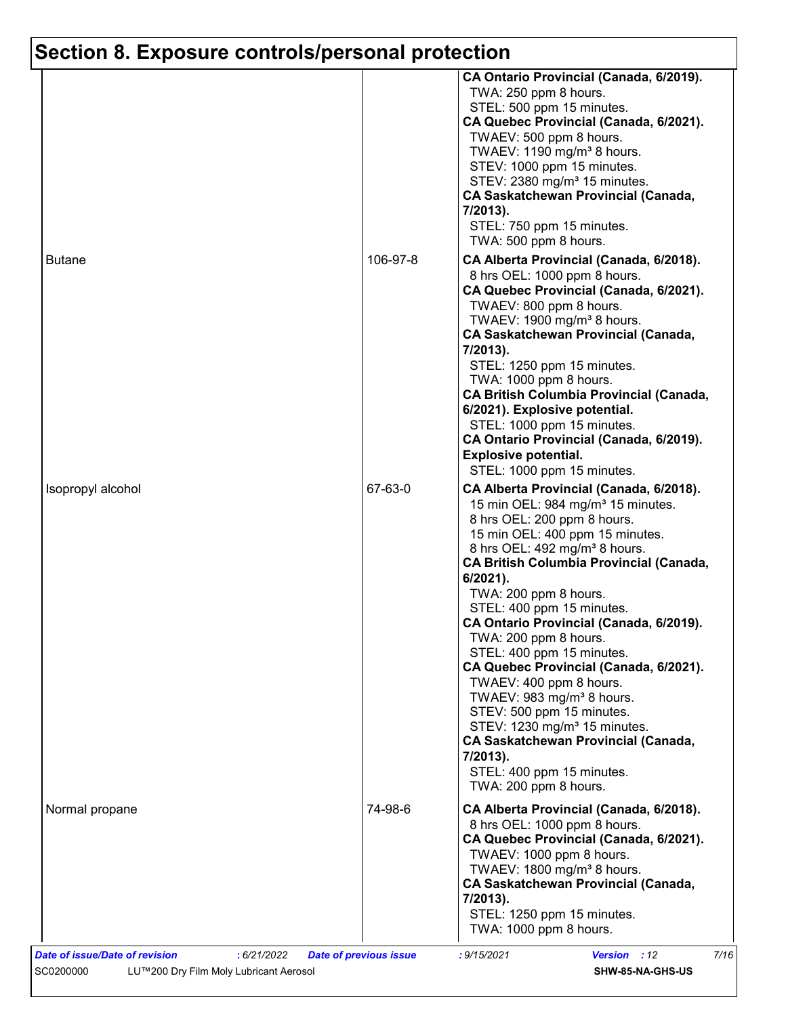| TWA: 250 ppm 8 hours.<br>STEL: 500 ppm 15 minutes.<br>TWAEV: 500 ppm 8 hours.<br>TWAEV: $1190$ mg/m <sup>3</sup> 8 hours.<br>STEV: 1000 ppm 15 minutes.<br>STEV: 2380 mg/m <sup>3</sup> 15 minutes.<br>7/2013).<br>STEL: 750 ppm 15 minutes.<br>TWA: 500 ppm 8 hours.<br>106-97-8<br><b>Butane</b><br>8 hrs OEL: 1000 ppm 8 hours.<br>TWAEV: 800 ppm 8 hours.<br>TWAEV: 1900 mg/m <sup>3</sup> 8 hours.<br>7/2013).<br>STEL: 1250 ppm 15 minutes.<br>TWA: 1000 ppm 8 hours.<br>6/2021). Explosive potential.<br>STEL: 1000 ppm 15 minutes.<br><b>Explosive potential.</b><br>STEL: 1000 ppm 15 minutes.<br>67-63-0<br>Isopropyl alcohol<br>8 hrs OEL: 200 ppm 8 hours.<br>15 min OEL: 400 ppm 15 minutes.<br>8 hrs OEL: 492 mg/m <sup>3</sup> 8 hours.<br>$6/2021$ ).<br>TWA: 200 ppm 8 hours.<br>STEL: 400 ppm 15 minutes.<br>TWA: 200 ppm 8 hours.<br>STEL: 400 ppm 15 minutes.<br>TWAEV: 400 ppm 8 hours.<br>TWAEV: 983 mg/m <sup>3</sup> 8 hours.<br>STEV: 500 ppm 15 minutes.<br>STEV: 1230 mg/m <sup>3</sup> 15 minutes.<br>7/2013).<br>STEL: 400 ppm 15 minutes.<br>TWA: 200 ppm 8 hours.<br>74-98-6<br>Normal propane<br>8 hrs OEL: 1000 ppm 8 hours.<br>TWAEV: 1000 ppm 8 hours.<br>TWAEV: 1800 mg/m <sup>3</sup> 8 hours. |  |                                                                                                                                                                                                                                                                               |
|-------------------------------------------------------------------------------------------------------------------------------------------------------------------------------------------------------------------------------------------------------------------------------------------------------------------------------------------------------------------------------------------------------------------------------------------------------------------------------------------------------------------------------------------------------------------------------------------------------------------------------------------------------------------------------------------------------------------------------------------------------------------------------------------------------------------------------------------------------------------------------------------------------------------------------------------------------------------------------------------------------------------------------------------------------------------------------------------------------------------------------------------------------------------------------------------------------------------------------------|--|-------------------------------------------------------------------------------------------------------------------------------------------------------------------------------------------------------------------------------------------------------------------------------|
|                                                                                                                                                                                                                                                                                                                                                                                                                                                                                                                                                                                                                                                                                                                                                                                                                                                                                                                                                                                                                                                                                                                                                                                                                                     |  | CA Ontario Provincial (Canada, 6/2019).<br>CA Quebec Provincial (Canada, 6/2021).<br><b>CA Saskatchewan Provincial (Canada,</b>                                                                                                                                               |
|                                                                                                                                                                                                                                                                                                                                                                                                                                                                                                                                                                                                                                                                                                                                                                                                                                                                                                                                                                                                                                                                                                                                                                                                                                     |  | CA Alberta Provincial (Canada, 6/2018).<br>CA Quebec Provincial (Canada, 6/2021).<br><b>CA Saskatchewan Provincial (Canada,</b><br><b>CA British Columbia Provincial (Canada,</b><br>CA Ontario Provincial (Canada, 6/2019).                                                  |
|                                                                                                                                                                                                                                                                                                                                                                                                                                                                                                                                                                                                                                                                                                                                                                                                                                                                                                                                                                                                                                                                                                                                                                                                                                     |  | CA Alberta Provincial (Canada, 6/2018).<br>15 min OEL: 984 mg/m <sup>3</sup> 15 minutes.<br><b>CA British Columbia Provincial (Canada,</b><br>CA Ontario Provincial (Canada, 6/2019).<br>CA Quebec Provincial (Canada, 6/2021).<br><b>CA Saskatchewan Provincial (Canada,</b> |
| STEL: 1250 ppm 15 minutes.<br>TWA: 1000 ppm 8 hours.                                                                                                                                                                                                                                                                                                                                                                                                                                                                                                                                                                                                                                                                                                                                                                                                                                                                                                                                                                                                                                                                                                                                                                                |  | CA Alberta Provincial (Canada, 6/2018).<br>CA Quebec Provincial (Canada, 6/2021).<br><b>CA Saskatchewan Provincial (Canada,</b><br>7/2013).                                                                                                                                   |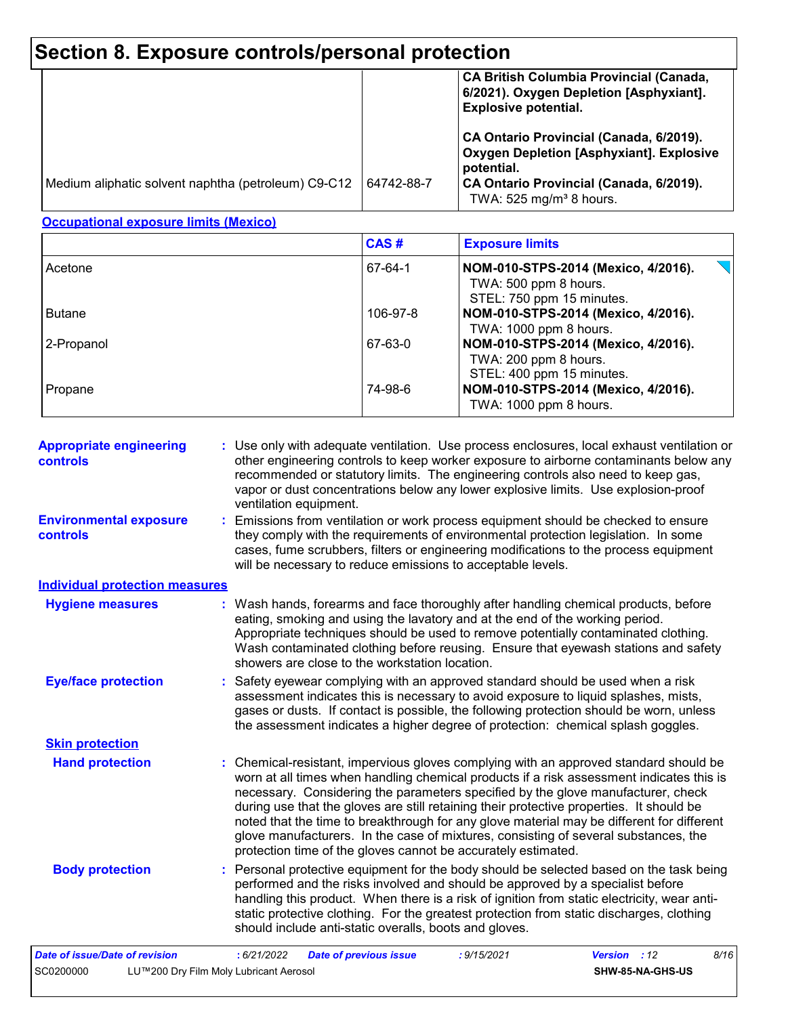|                                                     |            | <b>CA British Columbia Provincial (Canada,</b><br>6/2021). Oxygen Depletion [Asphyxiant].<br><b>Explosive potential.</b> |
|-----------------------------------------------------|------------|--------------------------------------------------------------------------------------------------------------------------|
|                                                     |            | CA Ontario Provincial (Canada, 6/2019).<br><b>Oxygen Depletion [Asphyxiant]. Explosive</b><br>potential.                 |
| Medium aliphatic solvent naphtha (petroleum) C9-C12 | 64742-88-7 | CA Ontario Provincial (Canada, 6/2019).<br>TWA: $525$ mg/m <sup>3</sup> 8 hours.                                         |

#### **Occupational exposure limits (Mexico)**

|               | CAS#     | <b>Exposure limits</b>                                                                     |
|---------------|----------|--------------------------------------------------------------------------------------------|
| Acetone       | 67-64-1  | NOM-010-STPS-2014 (Mexico, 4/2016).<br>TWA: 500 ppm 8 hours.<br>STEL: 750 ppm 15 minutes.  |
| <b>Butane</b> | 106-97-8 | NOM-010-STPS-2014 (Mexico, 4/2016).                                                        |
| 2-Propanol    | 67-63-0  | TWA: 1000 ppm 8 hours.<br>NOM-010-STPS-2014 (Mexico, 4/2016).<br>TWA: 200 ppm 8 hours.     |
| Propane       | 74-98-6  | STEL: 400 ppm 15 minutes.<br>NOM-010-STPS-2014 (Mexico, 4/2016).<br>TWA: 1000 ppm 8 hours. |

| <b>Appropriate engineering</b><br>controls | : Use only with adequate ventilation. Use process enclosures, local exhaust ventilation or<br>other engineering controls to keep worker exposure to airborne contaminants below any<br>recommended or statutory limits. The engineering controls also need to keep gas,<br>vapor or dust concentrations below any lower explosive limits. Use explosion-proof<br>ventilation equipment.                                                                                                                                                                                                                                |
|--------------------------------------------|------------------------------------------------------------------------------------------------------------------------------------------------------------------------------------------------------------------------------------------------------------------------------------------------------------------------------------------------------------------------------------------------------------------------------------------------------------------------------------------------------------------------------------------------------------------------------------------------------------------------|
| <b>Environmental exposure</b><br>controls  | : Emissions from ventilation or work process equipment should be checked to ensure<br>they comply with the requirements of environmental protection legislation. In some<br>cases, fume scrubbers, filters or engineering modifications to the process equipment<br>will be necessary to reduce emissions to acceptable levels.                                                                                                                                                                                                                                                                                        |
| <b>Individual protection measures</b>      |                                                                                                                                                                                                                                                                                                                                                                                                                                                                                                                                                                                                                        |
| <b>Hygiene measures</b>                    | : Wash hands, forearms and face thoroughly after handling chemical products, before<br>eating, smoking and using the lavatory and at the end of the working period.<br>Appropriate techniques should be used to remove potentially contaminated clothing.<br>Wash contaminated clothing before reusing. Ensure that eyewash stations and safety<br>showers are close to the workstation location.                                                                                                                                                                                                                      |
| <b>Eye/face protection</b>                 | : Safety eyewear complying with an approved standard should be used when a risk<br>assessment indicates this is necessary to avoid exposure to liquid splashes, mists,<br>gases or dusts. If contact is possible, the following protection should be worn, unless<br>the assessment indicates a higher degree of protection: chemical splash goggles.                                                                                                                                                                                                                                                                  |
| <b>Skin protection</b>                     |                                                                                                                                                                                                                                                                                                                                                                                                                                                                                                                                                                                                                        |
| <b>Hand protection</b>                     | : Chemical-resistant, impervious gloves complying with an approved standard should be<br>worn at all times when handling chemical products if a risk assessment indicates this is<br>necessary. Considering the parameters specified by the glove manufacturer, check<br>during use that the gloves are still retaining their protective properties. It should be<br>noted that the time to breakthrough for any glove material may be different for different<br>glove manufacturers. In the case of mixtures, consisting of several substances, the<br>protection time of the gloves cannot be accurately estimated. |
| <b>Body protection</b>                     | : Personal protective equipment for the body should be selected based on the task being<br>performed and the risks involved and should be approved by a specialist before<br>handling this product. When there is a risk of ignition from static electricity, wear anti-<br>static protective clothing. For the greatest protection from static discharges, clothing<br>should include anti-static overalls, boots and gloves.                                                                                                                                                                                         |
| Date of issue/Date of revision             | : 6/21/2022<br>: 9/15/2021<br>Version : 12<br>8/16<br><b>Date of previous issue</b>                                                                                                                                                                                                                                                                                                                                                                                                                                                                                                                                    |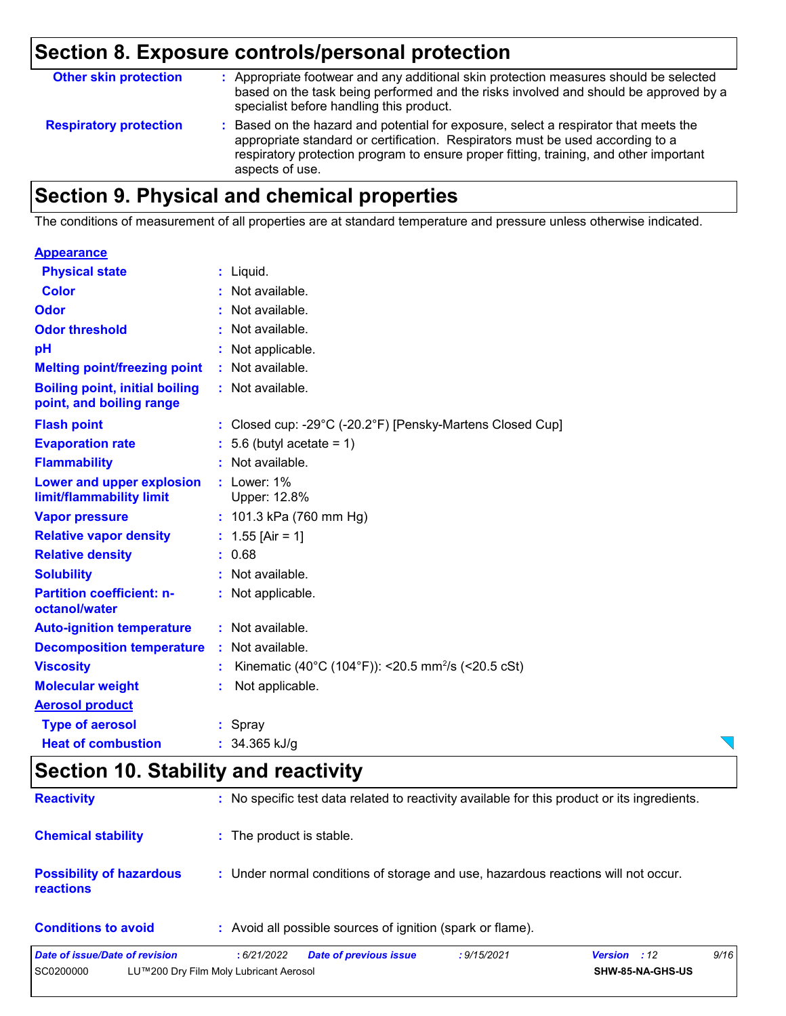| <b>Other skin protection</b>  | : Appropriate footwear and any additional skin protection measures should be selected<br>based on the task being performed and the risks involved and should be approved by a<br>specialist before handling this product.                                                           |
|-------------------------------|-------------------------------------------------------------------------------------------------------------------------------------------------------------------------------------------------------------------------------------------------------------------------------------|
| <b>Respiratory protection</b> | : Based on the hazard and potential for exposure, select a respirator that meets the<br>appropriate standard or certification. Respirators must be used according to a<br>respiratory protection program to ensure proper fitting, training, and other important<br>aspects of use. |

## **Section 9. Physical and chemical properties**

The conditions of measurement of all properties are at standard temperature and pressure unless otherwise indicated.

#### **Physical state Melting point/freezing point Vapor pressure Relative density Solubility** Liquid. **: :** Not available. 0.68 **:** 1.55 [Air = 1] **: :** Not available. **Odor :** Not available. **pH Color Color :** Not available. **Evaporation rate** : 5.6 (butyl acetate = 1) **Auto-ignition temperature Flash point :** Not available. Closed cup: -29°C (-20.2°F) [Pensky-Martens Closed Cup] **:** Not applicable. **: :** Not applicable. **Viscosity** Kinematic (40°C (104°F)): <20.5 mm<sup>2</sup> /s (<20.5 cSt) **: Odor threshold** : Not available. **Partition coefficient: noctanol/water :** 101.3 kPa (760 mm Hg) **Appearance :** Not available. **:** Not available. **:** Lower: 1% Upper: 12.8% **Decomposition temperature :** Not available. **Type of aerosol :** Spray **Heat of combustion :** 34.365 kJ/g **Aerosol product Molecular weight :** Not applicable. **Boiling point, initial boiling point, and boiling range Flammability Lower and upper explosion limit/flammability limit Relative vapor density**

### **Section 10. Stability and reactivity**

| Date of issue/Date of revision                      | <b>Date of previous issue</b><br>:6/21/2022<br>LU™200 Dry Film Moly Lubricant Aerosol        | : 9/15/2021 | Version : 12<br>SHW-85-NA-GHS-US | 9/16 |
|-----------------------------------------------------|----------------------------------------------------------------------------------------------|-------------|----------------------------------|------|
| <b>Conditions to avoid</b>                          | : Avoid all possible sources of ignition (spark or flame).                                   |             |                                  |      |
| <b>Possibility of hazardous</b><br><b>reactions</b> | : Under normal conditions of storage and use, hazardous reactions will not occur.            |             |                                  |      |
| <b>Chemical stability</b>                           | : The product is stable.                                                                     |             |                                  |      |
| <b>Reactivity</b>                                   | : No specific test data related to reactivity available for this product or its ingredients. |             |                                  |      |

 $\overline{\nabla}$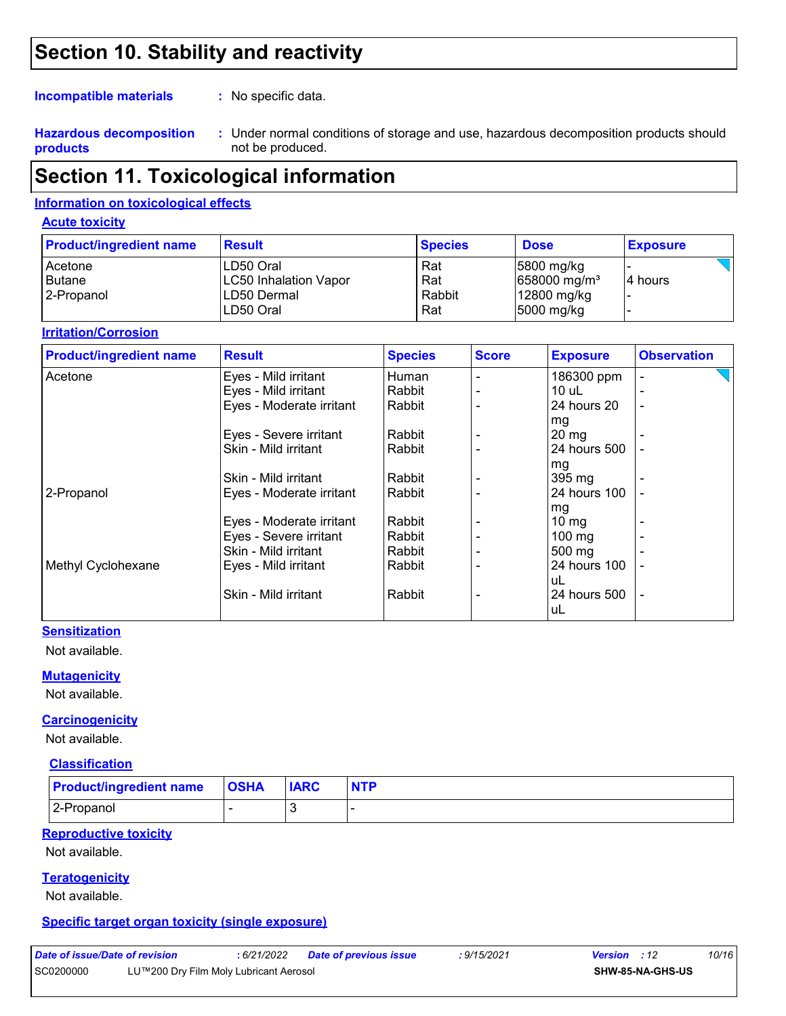## **Section 10. Stability and reactivity**

**Incompatible materials :**

: No specific data.

**Hazardous decomposition products**

Under normal conditions of storage and use, hazardous decomposition products should **:** not be produced.

## **Section 11. Toxicological information**

#### **Information on toxicological effects**

#### **Acute toxicity**

| <b>Product/ingredient name</b> | <b>Result</b>                | <b>Species</b> | <b>Dose</b>              | <b>Exposure</b> |
|--------------------------------|------------------------------|----------------|--------------------------|-----------------|
| Acetone                        | LD50 Oral                    | Rat            | $ 5800 \text{ mg/kg} $   |                 |
| Butane                         | <b>LC50 Inhalation Vapor</b> | Rat            | 658000 mg/m <sup>3</sup> | l4 hours        |
| 2-Propanol                     | LD50 Dermal                  | Rabbit         | 12800 mg/kg              |                 |
|                                | LD50 Oral                    | Rat            | 5000 mg/kg               |                 |

#### **Irritation/Corrosion**

| <b>Product/ingredient name</b> | <b>Result</b>            | <b>Species</b> | <b>Score</b> | <b>Exposure</b>    | <b>Observation</b>       |
|--------------------------------|--------------------------|----------------|--------------|--------------------|--------------------------|
| Acetone                        | Eyes - Mild irritant     | Human          |              | 186300 ppm         |                          |
|                                | Eyes - Mild irritant     | Rabbit         |              | 10 uL              |                          |
|                                | Eyes - Moderate irritant | Rabbit         |              | 24 hours 20        | $\overline{\phantom{0}}$ |
|                                |                          |                |              | mg                 |                          |
|                                | Eyes - Severe irritant   | Rabbit         |              | $20 \,\mathrm{mg}$ |                          |
|                                | Skin - Mild irritant     | Rabbit         |              | 24 hours 500       |                          |
|                                |                          |                |              | mg                 |                          |
|                                | Skin - Mild irritant     | Rabbit         |              | 395 mg             |                          |
| 2-Propanol                     | Eyes - Moderate irritant | Rabbit         |              | 24 hours 100       |                          |
|                                |                          |                |              | mg                 |                          |
|                                | Eyes - Moderate irritant | Rabbit         |              | $10 \text{ mg}$    |                          |
|                                | Eyes - Severe irritant   | Rabbit         |              | $100$ mg           |                          |
|                                | Skin - Mild irritant     | Rabbit         |              | $500 \text{ mg}$   |                          |
| Methyl Cyclohexane             | Eyes - Mild irritant     | Rabbit         |              | 24 hours 100       |                          |
|                                |                          |                |              | uL                 |                          |
|                                | Skin - Mild irritant     | Rabbit         |              | 24 hours 500       | $\overline{a}$           |
|                                |                          |                |              | uL                 |                          |

#### **Sensitization**

Not available.

#### **Mutagenicity**

Not available.

#### **Carcinogenicity**

Not available.

#### **Classification**

| <b>Product/ingredient name   OSHA</b> | <b>IARC</b> | <b>NTP</b> |
|---------------------------------------|-------------|------------|
| 2-Propanol                            |             |            |

#### **Reproductive toxicity**

Not available.

#### **Teratogenicity**

Not available.

#### **Specific target organ toxicity (single exposure)**

| Date of issue/Date of revision |                                        | 6/21/2022 | <b>Date of previous issue</b> | : 9/15/2021 | <b>Version</b> : 12 |                  | 10/16 |
|--------------------------------|----------------------------------------|-----------|-------------------------------|-------------|---------------------|------------------|-------|
| SC0200000                      | LU™200 Dry Film Moly Lubricant Aerosol |           |                               |             |                     | SHW-85-NA-GHS-US |       |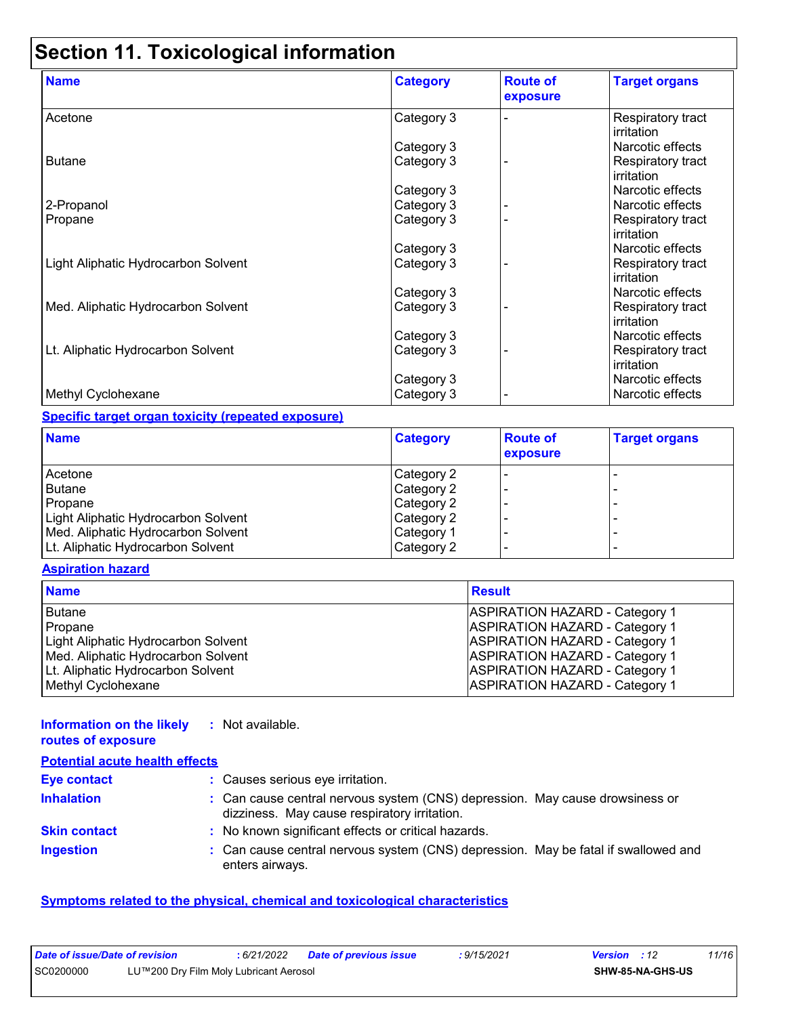# **Section 11. Toxicological information**

| <b>Name</b>                         | <b>Category</b> | <b>Route of</b><br>exposure | <b>Target organs</b>            |
|-------------------------------------|-----------------|-----------------------------|---------------------------------|
| Acetone                             | Category 3      |                             | Respiratory tract<br>irritation |
|                                     | Category 3      |                             | Narcotic effects                |
| <b>Butane</b>                       | Category 3      |                             | Respiratory tract<br>irritation |
|                                     | Category 3      |                             | Narcotic effects                |
| 2-Propanol                          | Category 3      |                             | Narcotic effects                |
| Propane                             | Category 3      |                             | Respiratory tract<br>irritation |
|                                     | Category 3      |                             | Narcotic effects                |
| Light Aliphatic Hydrocarbon Solvent | Category 3      |                             | Respiratory tract<br>irritation |
|                                     | Category 3      |                             | Narcotic effects                |
| Med. Aliphatic Hydrocarbon Solvent  | Category 3      |                             | Respiratory tract<br>irritation |
|                                     | Category 3      |                             | Narcotic effects                |
| Lt. Aliphatic Hydrocarbon Solvent   | Category 3      |                             | Respiratory tract<br>irritation |
|                                     | Category 3      |                             | Narcotic effects                |
| Methyl Cyclohexane                  | Category 3      |                             | Narcotic effects                |

#### **Specific target organ toxicity (repeated exposure)**

| <b>Name</b>                         | <b>Category</b> | <b>Route of</b><br>exposure | <b>Target organs</b> |
|-------------------------------------|-----------------|-----------------------------|----------------------|
| l Acetone                           | l Category 2    |                             |                      |
| Butane                              | Category 2      |                             |                      |
| Propane                             | Category 2      |                             |                      |
| Light Aliphatic Hydrocarbon Solvent | Category 2      |                             |                      |
| Med. Aliphatic Hydrocarbon Solvent  | Category 1      |                             |                      |
| Lt. Aliphatic Hydrocarbon Solvent   | Category 2      |                             |                      |

#### **Aspiration hazard**

| <b>Name</b>                         | <b>Result</b>                         |
|-------------------------------------|---------------------------------------|
| Butane                              | <b>ASPIRATION HAZARD - Category 1</b> |
| Propane                             | <b>ASPIRATION HAZARD - Category 1</b> |
| Light Aliphatic Hydrocarbon Solvent | ASPIRATION HAZARD - Category 1        |
| Med. Aliphatic Hydrocarbon Solvent  | <b>ASPIRATION HAZARD - Category 1</b> |
| Lt. Aliphatic Hydrocarbon Solvent   | ASPIRATION HAZARD - Category 1        |
| Methyl Cyclohexane                  | <b>ASPIRATION HAZARD - Category 1</b> |

#### **Information on the likely :** Not available. **routes of exposure**

| : Causes serious eye irritation.<br>: Can cause central nervous system (CNS) depression. May cause drowsiness or<br>dizziness. May cause respiratory irritation.<br>: No known significant effects or critical hazards.<br>: Can cause central nervous system (CNS) depression. May be fatal if swallowed and<br>enters airways. |
|----------------------------------------------------------------------------------------------------------------------------------------------------------------------------------------------------------------------------------------------------------------------------------------------------------------------------------|

#### **Symptoms related to the physical, chemical and toxicological characteristics**

| Date of issue/Date of revision |                                        | : 6/21/2022 Date of previous issue | : 9/15/2021 | <b>Version</b> : 12 |                         | 11/16 |
|--------------------------------|----------------------------------------|------------------------------------|-------------|---------------------|-------------------------|-------|
| SC0200000                      | LU™200 Dry Film Moly Lubricant Aerosol |                                    |             |                     | <b>SHW-85-NA-GHS-US</b> |       |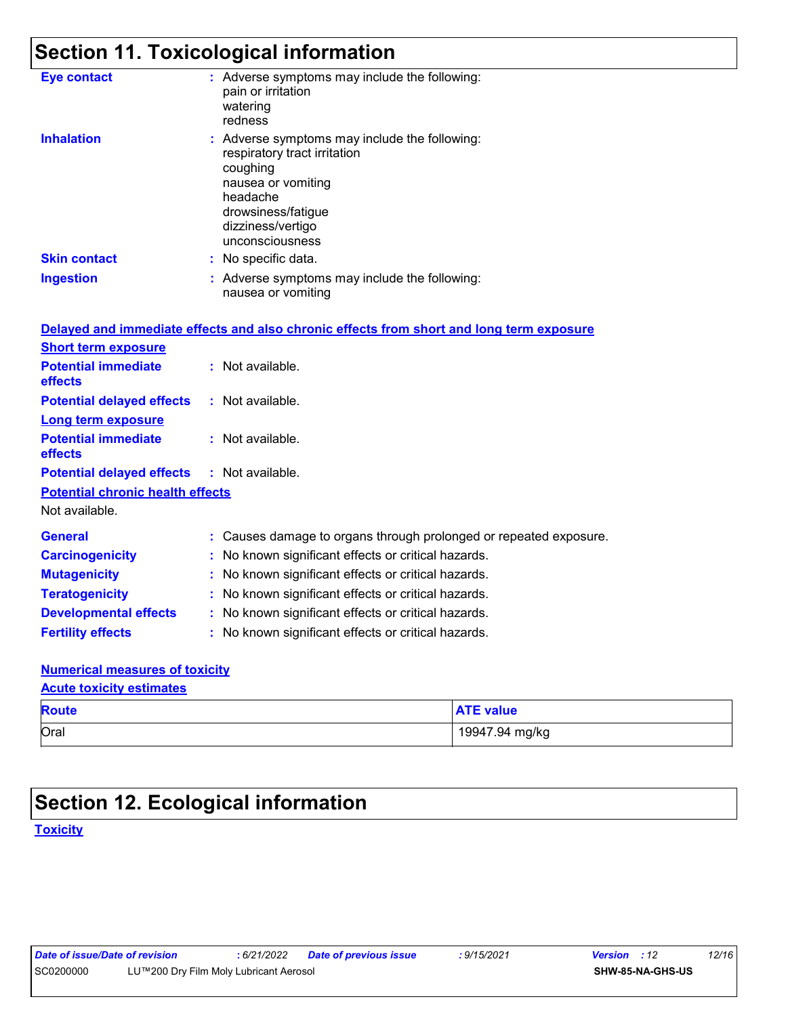# **Section 11. Toxicological information**

| <b>Eye contact</b>                      | : Adverse symptoms may include the following:<br>pain or irritation<br>watering<br>redness                                                                                                |
|-----------------------------------------|-------------------------------------------------------------------------------------------------------------------------------------------------------------------------------------------|
| <b>Inhalation</b>                       | : Adverse symptoms may include the following:<br>respiratory tract irritation<br>coughing<br>nausea or vomiting<br>headache<br>drowsiness/fatigue<br>dizziness/vertigo<br>unconsciousness |
| <b>Skin contact</b>                     | : No specific data.                                                                                                                                                                       |
| <b>Ingestion</b>                        | : Adverse symptoms may include the following:<br>nausea or vomiting                                                                                                                       |
|                                         | Delayed and immediate effects and also chronic effects from short and long term exposure                                                                                                  |
| <b>Short term exposure</b>              |                                                                                                                                                                                           |
| <b>Potential immediate</b><br>effects   | : Not available.                                                                                                                                                                          |
| <b>Potential delayed effects</b>        | : Not available.                                                                                                                                                                          |
| <b>Long term exposure</b>               |                                                                                                                                                                                           |
| <b>Potential immediate</b><br>effects   | : Not available.                                                                                                                                                                          |
| <b>Potential delayed effects</b>        | : Not available.                                                                                                                                                                          |
| <b>Potential chronic health effects</b> |                                                                                                                                                                                           |
| Not available.                          |                                                                                                                                                                                           |
| <b>General</b>                          | : Causes damage to organs through prolonged or repeated exposure.                                                                                                                         |
| <b>Carcinogenicity</b>                  | : No known significant effects or critical hazards.                                                                                                                                       |
| <b>Mutagenicity</b>                     | : No known significant effects or critical hazards.                                                                                                                                       |
| <b>Teratogenicity</b>                   | : No known significant effects or critical hazards.                                                                                                                                       |
| <b>Developmental effects</b>            | : No known significant effects or critical hazards.                                                                                                                                       |
| <b>Fertility effects</b>                | : No known significant effects or critical hazards.                                                                                                                                       |
| Numerical mesource of texteins          |                                                                                                                                                                                           |

#### **Numerical measures of toxicity Acute toxicity estimates**

| <b>Route</b> | <b>ATE value</b> |
|--------------|------------------|
| Oral         | 19947.94 mg/kg   |

## **Section 12. Ecological information**

**Toxicity**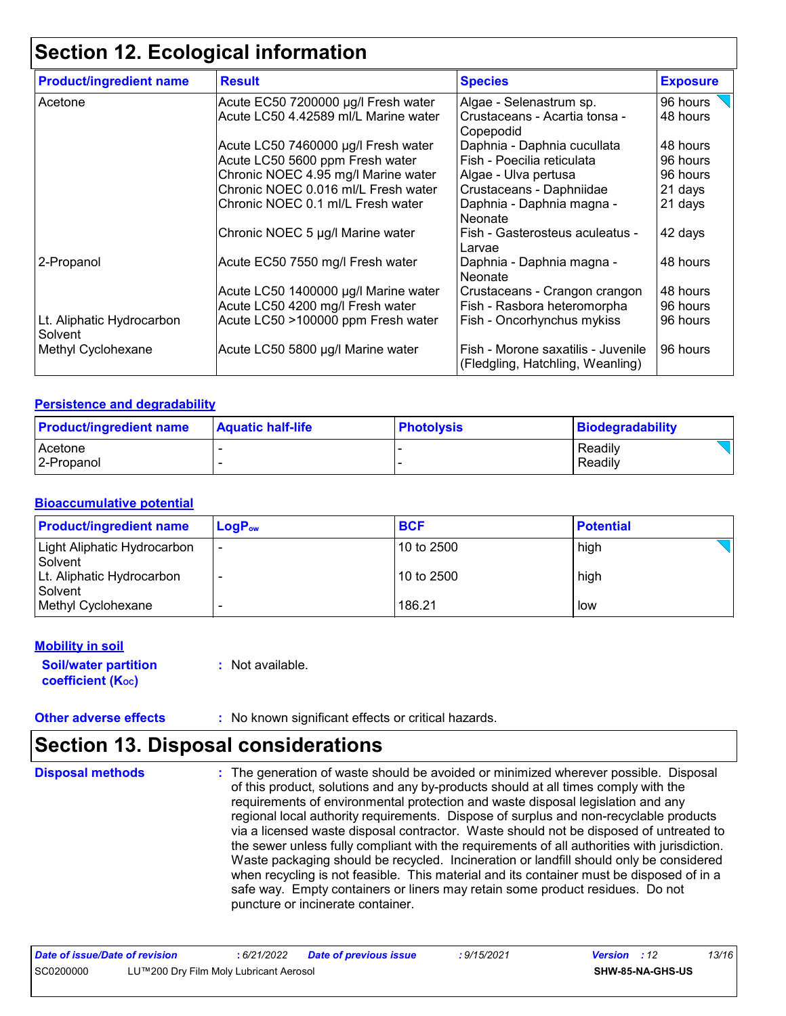## **Section 12. Ecological information**

| <b>Product/ingredient name</b>       | <b>Result</b>                        | <b>Species</b>                                                         | <b>Exposure</b> |
|--------------------------------------|--------------------------------------|------------------------------------------------------------------------|-----------------|
| Acetone                              | Acute EC50 7200000 µg/l Fresh water  | Algae - Selenastrum sp.                                                | 96 hours        |
|                                      | Acute LC50 4.42589 ml/L Marine water | Crustaceans - Acartia tonsa -<br>Copepodid                             | 48 hours        |
|                                      | Acute LC50 7460000 µg/l Fresh water  | Daphnia - Daphnia cucullata                                            | 48 hours        |
|                                      | Acute LC50 5600 ppm Fresh water      | Fish - Poecilia reticulata                                             | 96 hours        |
|                                      | Chronic NOEC 4.95 mg/l Marine water  | Algae - Ulva pertusa                                                   | 96 hours        |
|                                      | Chronic NOEC 0.016 ml/L Fresh water  | Crustaceans - Daphniidae                                               | 21 days         |
|                                      | Chronic NOEC 0.1 ml/L Fresh water    | Daphnia - Daphnia magna -<br>Neonate                                   | 21 days         |
|                                      | Chronic NOEC 5 µg/l Marine water     | Fish - Gasterosteus aculeatus -<br>Larvae                              | 42 days         |
| 2-Propanol                           | Acute EC50 7550 mg/l Fresh water     | Daphnia - Daphnia magna -<br>Neonate                                   | 48 hours        |
|                                      | Acute LC50 1400000 µg/l Marine water | Crustaceans - Crangon crangon                                          | 48 hours        |
|                                      | Acute LC50 4200 mg/l Fresh water     | Fish - Rasbora heteromorpha                                            | 96 hours        |
| Lt. Aliphatic Hydrocarbon<br>Solvent | Acute LC50 >100000 ppm Fresh water   | Fish - Oncorhynchus mykiss                                             | 96 hours        |
| Methyl Cyclohexane                   | Acute LC50 5800 µg/l Marine water    | Fish - Morone saxatilis - Juvenile<br>(Fledgling, Hatchling, Weanling) | 96 hours        |

#### **Persistence and degradability**

| Biodegradability<br><b>Aquatic half-life</b><br><b>Photolysis</b> |
|-------------------------------------------------------------------|
| Readily                                                           |
| Readily                                                           |

#### **Bioaccumulative potential**

| <b>Product/ingredient name</b>         | $\mathsf{LogP}_\mathsf{ow}$ | <b>BCF</b>   | <b>Potential</b> |
|----------------------------------------|-----------------------------|--------------|------------------|
| Light Aliphatic Hydrocarbon<br>Solvent |                             | 10 to 2500   | high             |
| Lt. Aliphatic Hydrocarbon<br>Solvent   |                             | l 10 to 2500 | high             |
| Methyl Cyclohexane                     |                             | 186.21       | low              |

#### **Mobility in soil**

**Soil/water partition coefficient (K**<sub>oc</sub>)

**:** Not available.

#### **Other adverse effects** : No known significant effects or critical hazards.

## **Section 13. Disposal considerations**

**Disposal methods :**

The generation of waste should be avoided or minimized wherever possible. Disposal of this product, solutions and any by-products should at all times comply with the requirements of environmental protection and waste disposal legislation and any regional local authority requirements. Dispose of surplus and non-recyclable products via a licensed waste disposal contractor. Waste should not be disposed of untreated to the sewer unless fully compliant with the requirements of all authorities with jurisdiction. Waste packaging should be recycled. Incineration or landfill should only be considered when recycling is not feasible. This material and its container must be disposed of in a safe way. Empty containers or liners may retain some product residues. Do not puncture or incinerate container.

| Date of issue/Date of revision |                                        | : 6/21/2022 | Date of previous issue | : 9/15/2021 | <b>Version</b> : 12 |                         | 13/16 |
|--------------------------------|----------------------------------------|-------------|------------------------|-------------|---------------------|-------------------------|-------|
| SC0200000                      | LU™200 Dry Film Moly Lubricant Aerosol |             |                        |             |                     | <b>SHW-85-NA-GHS-US</b> |       |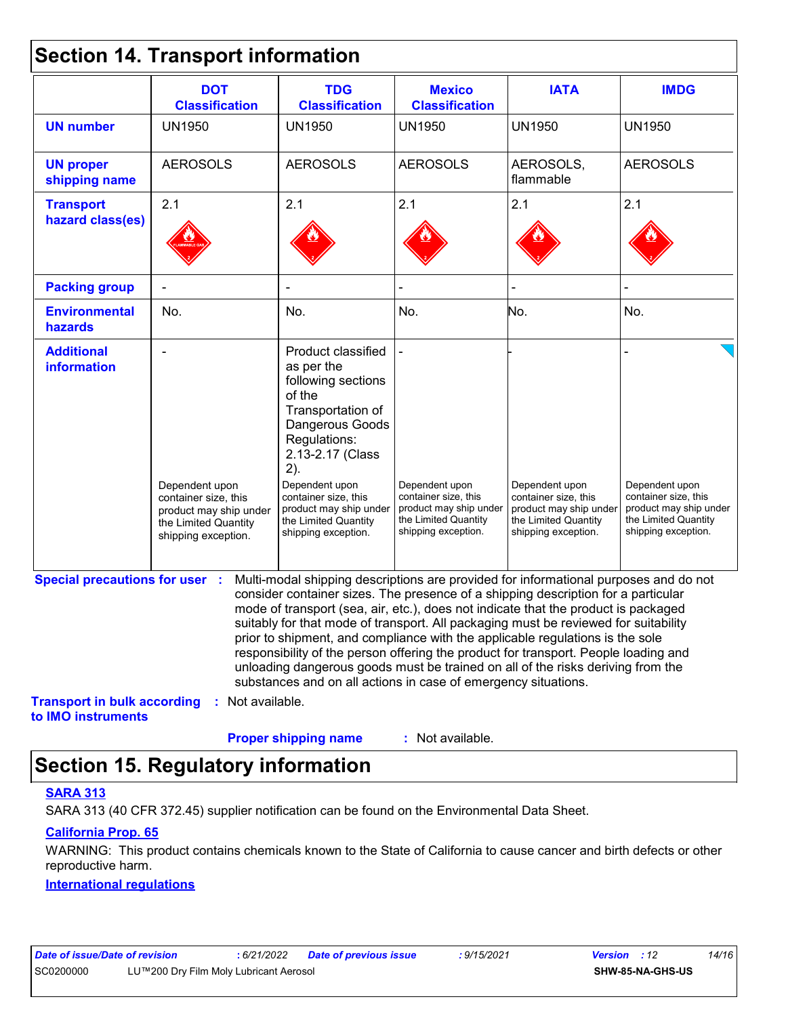## **Section 14. Transport information**

|                                                          | <b>DOT</b><br><b>Classification</b>                                                                             | <b>TDG</b><br><b>Classification</b>                                                                                                                                                                                                                                                                                                                                                                                                                                                                                                                                                                                                                                                 | <b>Mexico</b><br><b>Classification</b>                                                                          | <b>IATA</b>                                                                                                     | <b>IMDG</b>                                                                                                     |
|----------------------------------------------------------|-----------------------------------------------------------------------------------------------------------------|-------------------------------------------------------------------------------------------------------------------------------------------------------------------------------------------------------------------------------------------------------------------------------------------------------------------------------------------------------------------------------------------------------------------------------------------------------------------------------------------------------------------------------------------------------------------------------------------------------------------------------------------------------------------------------------|-----------------------------------------------------------------------------------------------------------------|-----------------------------------------------------------------------------------------------------------------|-----------------------------------------------------------------------------------------------------------------|
| <b>UN number</b>                                         | <b>UN1950</b>                                                                                                   | <b>UN1950</b>                                                                                                                                                                                                                                                                                                                                                                                                                                                                                                                                                                                                                                                                       | <b>UN1950</b>                                                                                                   | <b>UN1950</b>                                                                                                   | <b>UN1950</b>                                                                                                   |
| <b>UN proper</b><br>shipping name                        | <b>AEROSOLS</b>                                                                                                 | <b>AEROSOLS</b>                                                                                                                                                                                                                                                                                                                                                                                                                                                                                                                                                                                                                                                                     | <b>AEROSOLS</b>                                                                                                 | AEROSOLS,<br>flammable                                                                                          | <b>AEROSOLS</b>                                                                                                 |
| <b>Transport</b>                                         | 2.1                                                                                                             | 2.1                                                                                                                                                                                                                                                                                                                                                                                                                                                                                                                                                                                                                                                                                 | 2.1                                                                                                             | 2.1                                                                                                             | 2.1                                                                                                             |
| hazard class(es)                                         |                                                                                                                 |                                                                                                                                                                                                                                                                                                                                                                                                                                                                                                                                                                                                                                                                                     |                                                                                                                 |                                                                                                                 |                                                                                                                 |
| <b>Packing group</b>                                     |                                                                                                                 |                                                                                                                                                                                                                                                                                                                                                                                                                                                                                                                                                                                                                                                                                     |                                                                                                                 |                                                                                                                 |                                                                                                                 |
| <b>Environmental</b><br>hazards                          | No.                                                                                                             | No.                                                                                                                                                                                                                                                                                                                                                                                                                                                                                                                                                                                                                                                                                 | No.                                                                                                             | No.                                                                                                             | No.                                                                                                             |
| <b>Additional</b><br>information                         | Dependent upon<br>container size, this<br>product may ship under<br>the Limited Quantity<br>shipping exception. | Product classified<br>as per the<br>following sections<br>of the<br>Transportation of<br>Dangerous Goods<br>Regulations:<br>2.13-2.17 (Class<br>2).<br>Dependent upon<br>container size, this<br>product may ship under<br>the Limited Quantity<br>shipping exception.                                                                                                                                                                                                                                                                                                                                                                                                              | Dependent upon<br>container size, this<br>product may ship under<br>the Limited Quantity<br>shipping exception. | Dependent upon<br>container size, this<br>product may ship under<br>the Limited Quantity<br>shipping exception. | Dependent upon<br>container size, this<br>product may ship under<br>the Limited Quantity<br>shipping exception. |
| <b>Special precautions for user :</b>                    |                                                                                                                 | Multi-modal shipping descriptions are provided for informational purposes and do not<br>consider container sizes. The presence of a shipping description for a particular<br>mode of transport (sea, air, etc.), does not indicate that the product is packaged<br>suitably for that mode of transport. All packaging must be reviewed for suitability<br>prior to shipment, and compliance with the applicable regulations is the sole<br>responsibility of the person offering the product for transport. People loading and<br>unloading dangerous goods must be trained on all of the risks deriving from the<br>substances and on all actions in case of emergency situations. |                                                                                                                 |                                                                                                                 |                                                                                                                 |
| <b>Transport in bulk according</b><br>to IMO instruments | : Not available.                                                                                                |                                                                                                                                                                                                                                                                                                                                                                                                                                                                                                                                                                                                                                                                                     |                                                                                                                 |                                                                                                                 |                                                                                                                 |
|                                                          |                                                                                                                 | <b>Proper shipping name</b>                                                                                                                                                                                                                                                                                                                                                                                                                                                                                                                                                                                                                                                         | : Not available.                                                                                                |                                                                                                                 |                                                                                                                 |

## **Section 15. Regulatory information**

#### **SARA 313**

SARA 313 (40 CFR 372.45) supplier notification can be found on the Environmental Data Sheet.

#### **California Prop. 65**

WARNING: This product contains chemicals known to the State of California to cause cancer and birth defects or other reproductive harm.

#### **International regulations**

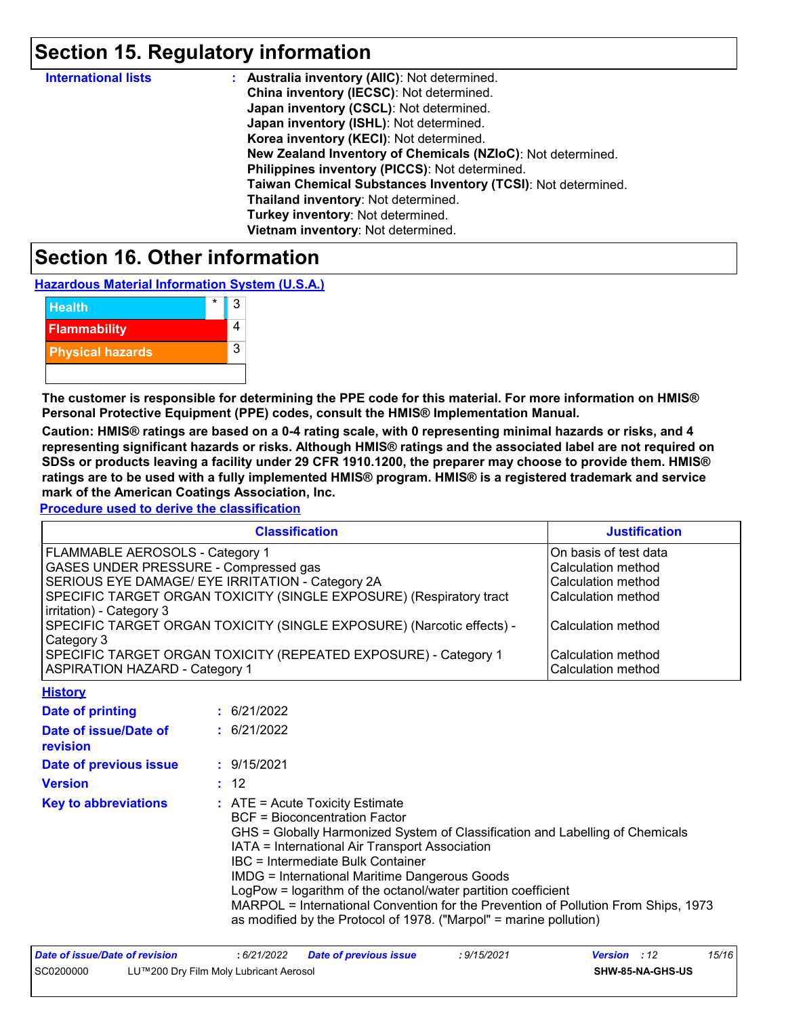## **Section 15. Regulatory information**

| <b>International lists</b> | : Australia inventory (AIIC): Not determined.                |
|----------------------------|--------------------------------------------------------------|
|                            | China inventory (IECSC): Not determined.                     |
|                            | Japan inventory (CSCL): Not determined.                      |
|                            | Japan inventory (ISHL): Not determined.                      |
|                            | Korea inventory (KECI): Not determined.                      |
|                            | New Zealand Inventory of Chemicals (NZIoC): Not determined.  |
|                            | Philippines inventory (PICCS): Not determined.               |
|                            | Taiwan Chemical Substances Inventory (TCSI): Not determined. |
|                            | Thailand inventory: Not determined.                          |
|                            | Turkey inventory: Not determined.                            |
|                            | Vietnam inventory: Not determined.                           |

### **Section 16. Other information**

**Hazardous Material Information System (U.S.A.)**

| <b>Health</b>           | 3 |
|-------------------------|---|
| <b>Flammability</b>     |   |
| <b>Physical hazards</b> | 3 |
|                         |   |

**The customer is responsible for determining the PPE code for this material. For more information on HMIS® Personal Protective Equipment (PPE) codes, consult the HMIS® Implementation Manual.**

**Caution: HMIS® ratings are based on a 0-4 rating scale, with 0 representing minimal hazards or risks, and 4 representing significant hazards or risks. Although HMIS® ratings and the associated label are not required on SDSs or products leaving a facility under 29 CFR 1910.1200, the preparer may choose to provide them. HMIS® ratings are to be used with a fully implemented HMIS® program. HMIS® is a registered trademark and service mark of the American Coatings Association, Inc.**

**Procedure used to derive the classification**

| <b>Classification</b>                                                 | <b>Justification</b>  |
|-----------------------------------------------------------------------|-----------------------|
| FLAMMABLE AEROSOLS - Category 1                                       | On basis of test data |
| GASES UNDER PRESSURE - Compressed gas                                 | Calculation method    |
| SERIOUS EYE DAMAGE/ EYE IRRITATION - Category 2A                      | Calculation method    |
| SPECIFIC TARGET ORGAN TOXICITY (SINGLE EXPOSURE) (Respiratory tract   | Calculation method    |
| irritation) - Category 3                                              |                       |
| SPECIFIC TARGET ORGAN TOXICITY (SINGLE EXPOSURE) (Narcotic effects) - | Calculation method    |
| Category 3                                                            |                       |
| SPECIFIC TARGET ORGAN TOXICITY (REPEATED EXPOSURE) - Category 1       | l Calculation method  |
| <b>ASPIRATION HAZARD - Category 1</b>                                 | Calculation method    |

| <b>History</b>                    |                                                                                                                                                                                                                                                                                                                                                                                                                                                                                                                                                 |
|-----------------------------------|-------------------------------------------------------------------------------------------------------------------------------------------------------------------------------------------------------------------------------------------------------------------------------------------------------------------------------------------------------------------------------------------------------------------------------------------------------------------------------------------------------------------------------------------------|
| Date of printing                  | : 6/21/2022                                                                                                                                                                                                                                                                                                                                                                                                                                                                                                                                     |
| Date of issue/Date of<br>revision | : 6/21/2022                                                                                                                                                                                                                                                                                                                                                                                                                                                                                                                                     |
| Date of previous issue            | : 9/15/2021                                                                                                                                                                                                                                                                                                                                                                                                                                                                                                                                     |
| <b>Version</b>                    | : 12                                                                                                                                                                                                                                                                                                                                                                                                                                                                                                                                            |
| <b>Key to abbreviations</b>       | $\therefore$ ATE = Acute Toxicity Estimate<br><b>BCF</b> = Bioconcentration Factor<br>GHS = Globally Harmonized System of Classification and Labelling of Chemicals<br>IATA = International Air Transport Association<br>IBC = Intermediate Bulk Container<br><b>IMDG = International Maritime Dangerous Goods</b><br>LogPow = logarithm of the octanol/water partition coefficient<br>MARPOL = International Convention for the Prevention of Pollution From Ships, 1973<br>as modified by the Protocol of 1978. ("Marpol" = marine pollution) |

| Date of issue/Date of revision |                                        | : 6/21/2022 | <b>Date of previous issue</b> | : 9/15/2021 | <b>Version</b> : 12 |                         | 15/16 |
|--------------------------------|----------------------------------------|-------------|-------------------------------|-------------|---------------------|-------------------------|-------|
| SC0200000                      | LU™200 Dry Film Moly Lubricant Aerosol |             |                               |             |                     | <b>SHW-85-NA-GHS-US</b> |       |